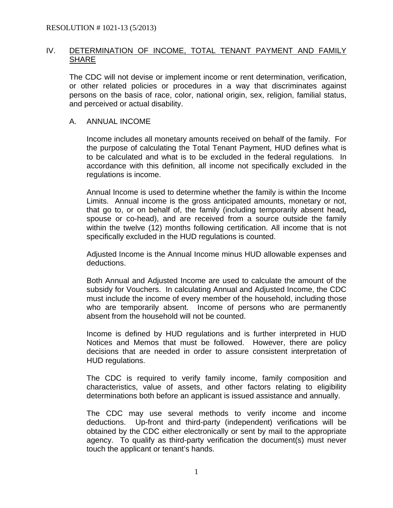### IV. DETERMINATION OF INCOME, TOTAL TENANT PAYMENT AND FAMILY **SHARE**

The CDC will not devise or implement income or rent determination, verification, or other related policies or procedures in a way that discriminates against persons on the basis of race, color, national origin, sex, religion, familial status, and perceived or actual disability.

### A. ANNUAL INCOME

Income includes all monetary amounts received on behalf of the family. For the purpose of calculating the Total Tenant Payment, HUD defines what is to be calculated and what is to be excluded in the federal regulations. In accordance with this definition, all income not specifically excluded in the regulations is income.

Annual Income is used to determine whether the family is within the Income Limits. Annual income is the gross anticipated amounts, monetary or not, that go to, or on behalf of, the family (including temporarily absent head*,*  spouse or co-head), and are received from a source outside the family within the twelve (12) months following certification. All income that is not specifically excluded in the HUD regulations is counted.

Adjusted Income is the Annual Income minus HUD allowable expenses and deductions.

Both Annual and Adjusted Income are used to calculate the amount of the subsidy for Vouchers. In calculating Annual and Adjusted Income, the CDC must include the income of every member of the household, including those who are temporarily absent. Income of persons who are permanently absent from the household will not be counted.

Income is defined by HUD regulations and is further interpreted in HUD Notices and Memos that must be followed. However, there are policy decisions that are needed in order to assure consistent interpretation of HUD regulations.

The CDC is required to verify family income, family composition and characteristics, value of assets, and other factors relating to eligibility determinations both before an applicant is issued assistance and annually.

The CDC may use several methods to verify income and income deductions. Up-front and third-party (independent) verifications will be obtained by the CDC either electronically or sent by mail to the appropriate agency. To qualify as third-party verification the document(s) must never touch the applicant or tenant's hands.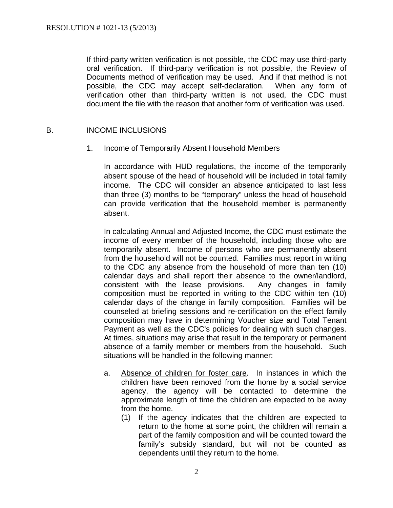If third-party written verification is not possible, the CDC may use third-party oral verification. If third-party verification is not possible, the Review of Documents method of verification may be used. And if that method is not possible, the CDC may accept self-declaration. When any form of verification other than third-party written is not used, the CDC must document the file with the reason that another form of verification was used.

### B. INCOME INCLUSIONS

1. Income of Temporarily Absent Household Members

In accordance with HUD regulations, the income of the temporarily absent spouse of the head of household will be included in total family income. The CDC will consider an absence anticipated to last less than three (3) months to be "temporary" unless the head of household can provide verification that the household member is permanently absent.

In calculating Annual and Adjusted Income, the CDC must estimate the income of every member of the household, including those who are temporarily absent. Income of persons who are permanently absent from the household will not be counted. Families must report in writing to the CDC any absence from the household of more than ten (10) calendar days and shall report their absence to the owner/landlord, consistent with the lease provisions. Any changes in family composition must be reported in writing to the CDC within ten (10) calendar days of the change in family composition. Families will be counseled at briefing sessions and re-certification on the effect family composition may have in determining Voucher size and Total Tenant Payment as well as the CDC's policies for dealing with such changes. At times, situations may arise that result in the temporary or permanent absence of a family member or members from the household. Such situations will be handled in the following manner:

- a. Absence of children for foster care. In instances in which the children have been removed from the home by a social service agency, the agency will be contacted to determine the approximate length of time the children are expected to be away from the home.
	- (1) If the agency indicates that the children are expected to return to the home at some point, the children will remain a part of the family composition and will be counted toward the family's subsidy standard, but will not be counted as dependents until they return to the home.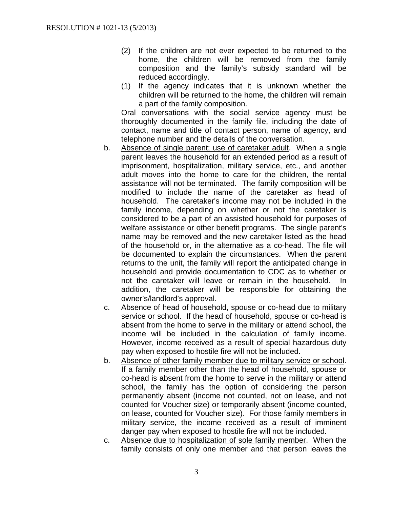- (2) If the children are not ever expected to be returned to the home, the children will be removed from the family composition and the family's subsidy standard will be reduced accordingly.
- (1) If the agency indicates that it is unknown whether the children will be returned to the home, the children will remain a part of the family composition.

Oral conversations with the social service agency must be thoroughly documented in the family file, including the date of contact, name and title of contact person, name of agency, and telephone number and the details of the conversation.

- b. Absence of single parent; use of caretaker adult. When a single parent leaves the household for an extended period as a result of imprisonment, hospitalization, military service, etc., and another adult moves into the home to care for the children, the rental assistance will not be terminated. The family composition will be modified to include the name of the caretaker as head of household. The caretaker's income may not be included in the family income, depending on whether or not the caretaker is considered to be a part of an assisted household for purposes of welfare assistance or other benefit programs. The single parent's name may be removed and the new caretaker listed as the head of the household or, in the alternative as a co-head. The file will be documented to explain the circumstances. When the parent returns to the unit, the family will report the anticipated change in household and provide documentation to CDC as to whether or not the caretaker will leave or remain in the household. In addition, the caretaker will be responsible for obtaining the owner's/landlord's approval.
- c. Absence of head of household, spouse or co-head due to military service or school. If the head of household, spouse or co-head is absent from the home to serve in the military or attend school, the income will be included in the calculation of family income. However, income received as a result of special hazardous duty pay when exposed to hostile fire will not be included.
- b. Absence of other family member due to military service or school. If a family member other than the head of household, spouse or co-head is absent from the home to serve in the military or attend school, the family has the option of considering the person permanently absent (income not counted, not on lease, and not counted for Voucher size) or temporarily absent (income counted, on lease, counted for Voucher size). For those family members in military service, the income received as a result of imminent danger pay when exposed to hostile fire will not be included.
- c. Absence due to hospitalization of sole family member. When the family consists of only one member and that person leaves the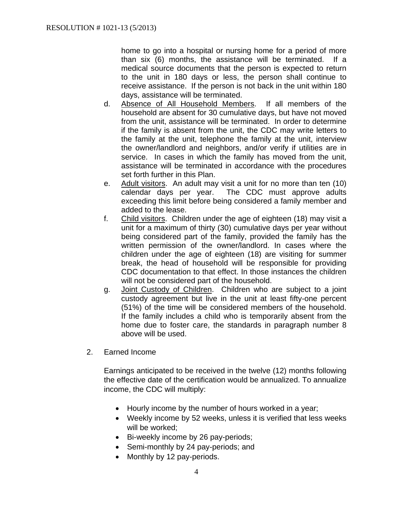home to go into a hospital or nursing home for a period of more than six (6) months, the assistance will be terminated. If a medical source documents that the person is expected to return to the unit in 180 days or less, the person shall continue to receive assistance. If the person is not back in the unit within 180 days, assistance will be terminated.

- d. Absence of All Household Members. If all members of the household are absent for 30 cumulative days, but have not moved from the unit, assistance will be terminated. In order to determine if the family is absent from the unit, the CDC may write letters to the family at the unit, telephone the family at the unit, interview the owner/landlord and neighbors, and/or verify if utilities are in service. In cases in which the family has moved from the unit, assistance will be terminated in accordance with the procedures set forth further in this Plan.
- e. Adult visitors. An adult may visit a unit for no more than ten (10) calendar days per year. The CDC must approve adults exceeding this limit before being considered a family member and added to the lease.
- f. Child visitors. Children under the age of eighteen (18) may visit a unit for a maximum of thirty (30) cumulative days per year without being considered part of the family, provided the family has the written permission of the owner/landlord. In cases where the children under the age of eighteen (18) are visiting for summer break, the head of household will be responsible for providing CDC documentation to that effect. In those instances the children will not be considered part of the household.
- g. Joint Custody of Children. Children who are subject to a joint custody agreement but live in the unit at least fifty-one percent (51%) of the time will be considered members of the household. If the family includes a child who is temporarily absent from the home due to foster care, the standards in paragraph number 8 above will be used.
- 2. Earned Income

Earnings anticipated to be received in the twelve (12) months following the effective date of the certification would be annualized. To annualize income, the CDC will multiply:

- Hourly income by the number of hours worked in a year;
- Weekly income by 52 weeks, unless it is verified that less weeks will be worked;
- Bi-weekly income by 26 pay-periods;
- Semi-monthly by 24 pay-periods; and
- Monthly by 12 pay-periods.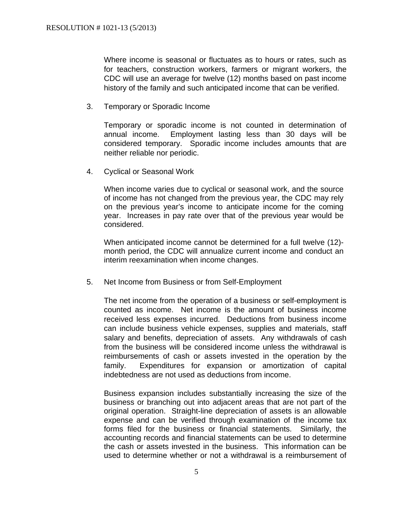Where income is seasonal or fluctuates as to hours or rates, such as for teachers, construction workers, farmers or migrant workers, the CDC will use an average for twelve (12) months based on past income history of the family and such anticipated income that can be verified.

3. Temporary or Sporadic Income

Temporary or sporadic income is not counted in determination of annual income. Employment lasting less than 30 days will be considered temporary. Sporadic income includes amounts that are neither reliable nor periodic.

4. Cyclical or Seasonal Work

When income varies due to cyclical or seasonal work, and the source of income has not changed from the previous year, the CDC may rely on the previous year's income to anticipate income for the coming year. Increases in pay rate over that of the previous year would be considered.

When anticipated income cannot be determined for a full twelve (12) month period, the CDC will annualize current income and conduct an interim reexamination when income changes.

5. Net Income from Business or from Self-Employment

The net income from the operation of a business or self-employment is counted as income. Net income is the amount of business income received less expenses incurred. Deductions from business income can include business vehicle expenses, supplies and materials, staff salary and benefits, depreciation of assets. Any withdrawals of cash from the business will be considered income unless the withdrawal is reimbursements of cash or assets invested in the operation by the family. Expenditures for expansion or amortization of capital indebtedness are not used as deductions from income.

Business expansion includes substantially increasing the size of the business or branching out into adjacent areas that are not part of the original operation. Straight-line depreciation of assets is an allowable expense and can be verified through examination of the income tax forms filed for the business or financial statements. Similarly, the accounting records and financial statements can be used to determine the cash or assets invested in the business. This information can be used to determine whether or not a withdrawal is a reimbursement of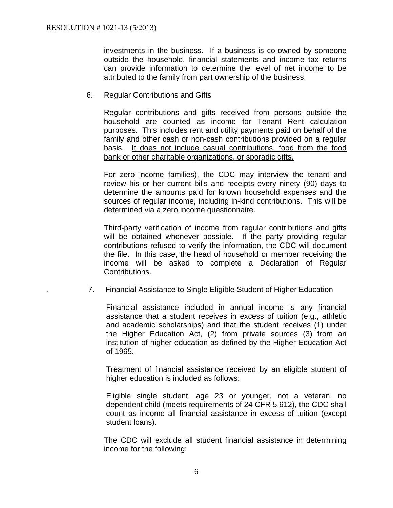investments in the business. If a business is co-owned by someone outside the household, financial statements and income tax returns can provide information to determine the level of net income to be attributed to the family from part ownership of the business.

6. Regular Contributions and Gifts

Regular contributions and gifts received from persons outside the household are counted as income for Tenant Rent calculation purposes. This includes rent and utility payments paid on behalf of the family and other cash or non-cash contributions provided on a regular basis. It does not include casual contributions, food from the food bank or other charitable organizations, or sporadic gifts.

For zero income families), the CDC may interview the tenant and review his or her current bills and receipts every ninety (90) days to determine the amounts paid for known household expenses and the sources of regular income, including in-kind contributions. This will be determined via a zero income questionnaire.

Third-party verification of income from regular contributions and gifts will be obtained whenever possible. If the party providing regular contributions refused to verify the information, the CDC will document the file. In this case, the head of household or member receiving the income will be asked to complete a Declaration of Regular Contributions.

. 7. Financial Assistance to Single Eligible Student of Higher Education

Financial assistance included in annual income is any financial assistance that a student receives in excess of tuition (e.g., athletic and academic scholarships) and that the student receives (1) under the Higher Education Act, (2) from private sources (3) from an institution of higher education as defined by the Higher Education Act of 1965.

Treatment of financial assistance received by an eligible student of higher education is included as follows:

Eligible single student, age 23 or younger, not a veteran, no dependent child (meets requirements of 24 CFR 5.612), the CDC shall count as income all financial assistance in excess of tuition (except student loans).

The CDC will exclude all student financial assistance in determining income for the following: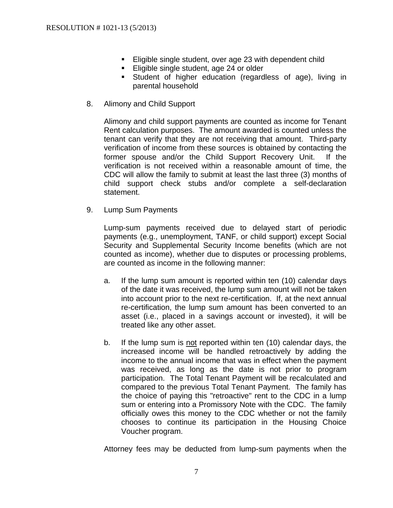- **Eligible single student, over age 23 with dependent child**
- **Eligible single student, age 24 or older**
- Student of higher education (regardless of age), living in parental household
- 8. Alimony and Child Support

Alimony and child support payments are counted as income for Tenant Rent calculation purposes. The amount awarded is counted unless the tenant can verify that they are not receiving that amount. Third-party verification of income from these sources is obtained by contacting the former spouse and/or the Child Support Recovery Unit. If the verification is not received within a reasonable amount of time, the CDC will allow the family to submit at least the last three (3) months of child support check stubs and/or complete a self-declaration statement.

9. Lump Sum Payments

Lump-sum payments received due to delayed start of periodic payments (e.g., unemployment, TANF, or child support) except Social Security and Supplemental Security Income benefits (which are not counted as income), whether due to disputes or processing problems, are counted as income in the following manner:

- a. If the lump sum amount is reported within ten (10) calendar days of the date it was received, the lump sum amount will not be taken into account prior to the next re-certification. If, at the next annual re-certification, the lump sum amount has been converted to an asset (i.e., placed in a savings account or invested), it will be treated like any other asset.
- b. If the lump sum is not reported within ten (10) calendar days, the increased income will be handled retroactively by adding the income to the annual income that was in effect when the payment was received, as long as the date is not prior to program participation. The Total Tenant Payment will be recalculated and compared to the previous Total Tenant Payment. The family has the choice of paying this "retroactive" rent to the CDC in a lump sum or entering into a Promissory Note with the CDC. The family officially owes this money to the CDC whether or not the family chooses to continue its participation in the Housing Choice Voucher program.

Attorney fees may be deducted from lump-sum payments when the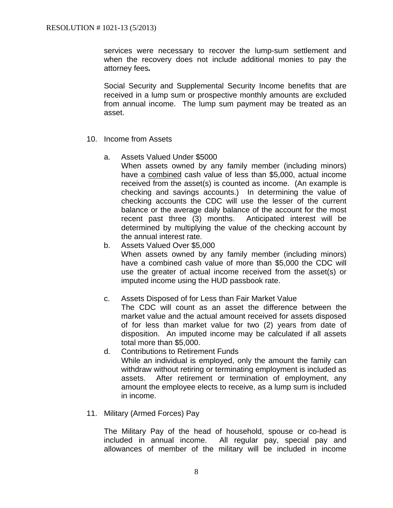services were necessary to recover the lump-sum settlement and when the recovery does not include additional monies to pay the attorney fees*.* 

Social Security and Supplemental Security Income benefits that are received in a lump sum or prospective monthly amounts are excluded from annual income. The lump sum payment may be treated as an asset.

- 10. Income from Assets
	- a. Assets Valued Under \$5000

When assets owned by any family member (including minors) have a combined cash value of less than \$5,000, actual income received from the asset(s) is counted as income. (An example is checking and savings accounts.) In determining the value of checking accounts the CDC will use the lesser of the current balance or the average daily balance of the account for the most recent past three (3) months. Anticipated interest will be determined by multiplying the value of the checking account by the annual interest rate.

b. Assets Valued Over \$5,000 When assets owned by any family member (including minors) have a combined cash value of more than \$5,000 the CDC will use the greater of actual income received from the asset(s) or imputed income using the HUD passbook rate.

# c. Assets Disposed of for Less than Fair Market Value

The CDC will count as an asset the difference between the market value and the actual amount received for assets disposed of for less than market value for two (2) years from date of disposition. An imputed income may be calculated if all assets total more than \$5,000.

d. Contributions to Retirement Funds While an individual is employed, only the amount the family can withdraw without retiring or terminating employment is included as assets. After retirement or termination of employment, any amount the employee elects to receive, as a lump sum is included in income.

### 11. Military (Armed Forces) Pay

The Military Pay of the head of household, spouse or co-head is included in annual income. All regular pay, special pay and allowances of member of the military will be included in income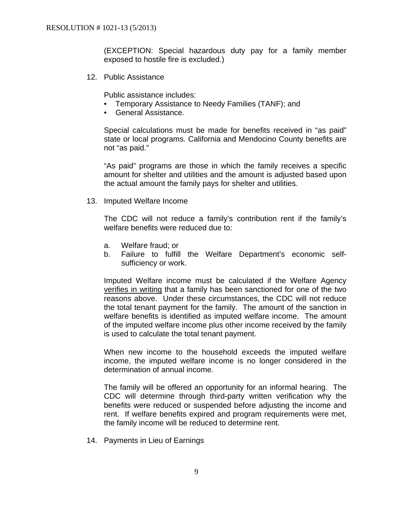(EXCEPTION: Special hazardous duty pay for a family member exposed to hostile fire is excluded.)

12. Public Assistance

Public assistance includes:

- Temporary Assistance to Needy Families (TANF); and
- General Assistance.

Special calculations must be made for benefits received in "as paid" state or local programs. California and Mendocino County benefits are not "as paid."

"As paid" programs are those in which the family receives a specific amount for shelter and utilities and the amount is adjusted based upon the actual amount the family pays for shelter and utilities.

13. Imputed Welfare Income

The CDC will not reduce a family's contribution rent if the family's welfare benefits were reduced due to:

- a. Welfare fraud; or
- b. Failure to fulfill the Welfare Department's economic selfsufficiency or work.

Imputed Welfare income must be calculated if the Welfare Agency verifies in writing that a family has been sanctioned for one of the two reasons above. Under these circumstances, the CDC will not reduce the total tenant payment for the family. The amount of the sanction in welfare benefits is identified as imputed welfare income. The amount of the imputed welfare income plus other income received by the family is used to calculate the total tenant payment.

When new income to the household exceeds the imputed welfare income, the imputed welfare income is no longer considered in the determination of annual income.

The family will be offered an opportunity for an informal hearing. The CDC will determine through third-party written verification why the benefits were reduced or suspended before adjusting the income and rent. If welfare benefits expired and program requirements were met, the family income will be reduced to determine rent.

14. Payments in Lieu of Earnings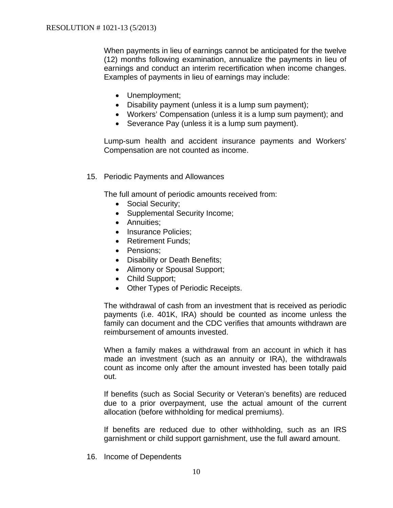When payments in lieu of earnings cannot be anticipated for the twelve (12) months following examination, annualize the payments in lieu of earnings and conduct an interim recertification when income changes. Examples of payments in lieu of earnings may include:

- Unemployment;
- Disability payment (unless it is a lump sum payment);
- Workers' Compensation (unless it is a lump sum payment); and
- Severance Pay (unless it is a lump sum payment).

Lump-sum health and accident insurance payments and Workers' Compensation are not counted as income.

15. Periodic Payments and Allowances

The full amount of periodic amounts received from:

- Social Security;
- Supplemental Security Income;
- Annuities:
- Insurance Policies:
- Retirement Funds:
- Pensions:
- Disability or Death Benefits;
- Alimony or Spousal Support;
- Child Support;
- Other Types of Periodic Receipts.

The withdrawal of cash from an investment that is received as periodic payments (i.e. 401K, IRA) should be counted as income unless the family can document and the CDC verifies that amounts withdrawn are reimbursement of amounts invested.

When a family makes a withdrawal from an account in which it has made an investment (such as an annuity or IRA), the withdrawals count as income only after the amount invested has been totally paid out.

If benefits (such as Social Security or Veteran's benefits) are reduced due to a prior overpayment, use the actual amount of the current allocation (before withholding for medical premiums).

If benefits are reduced due to other withholding, such as an IRS garnishment or child support garnishment, use the full award amount.

16. Income of Dependents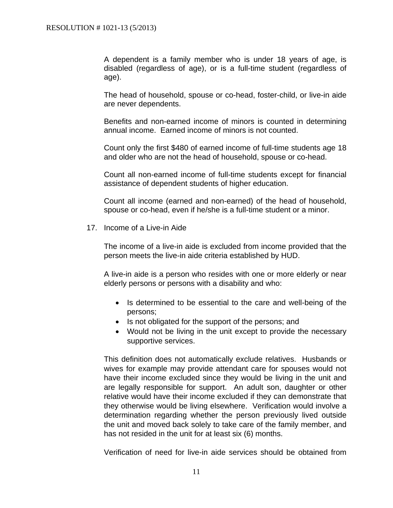A dependent is a family member who is under 18 years of age, is disabled (regardless of age), or is a full-time student (regardless of age).

The head of household, spouse or co-head, foster-child, or live-in aide are never dependents.

Benefits and non-earned income of minors is counted in determining annual income. Earned income of minors is not counted.

Count only the first \$480 of earned income of full-time students age 18 and older who are not the head of household, spouse or co-head.

Count all non-earned income of full-time students except for financial assistance of dependent students of higher education.

Count all income (earned and non-earned) of the head of household, spouse or co-head, even if he/she is a full-time student or a minor.

17. Income of a Live-in Aide

The income of a live-in aide is excluded from income provided that the person meets the live-in aide criteria established by HUD.

A live-in aide is a person who resides with one or more elderly or near elderly persons or persons with a disability and who:

- Is determined to be essential to the care and well-being of the persons;
- Is not obligated for the support of the persons; and
- Would not be living in the unit except to provide the necessary supportive services.

This definition does not automatically exclude relatives. Husbands or wives for example may provide attendant care for spouses would not have their income excluded since they would be living in the unit and are legally responsible for support. An adult son, daughter or other relative would have their income excluded if they can demonstrate that they otherwise would be living elsewhere. Verification would involve a determination regarding whether the person previously lived outside the unit and moved back solely to take care of the family member, and has not resided in the unit for at least six (6) months.

Verification of need for live-in aide services should be obtained from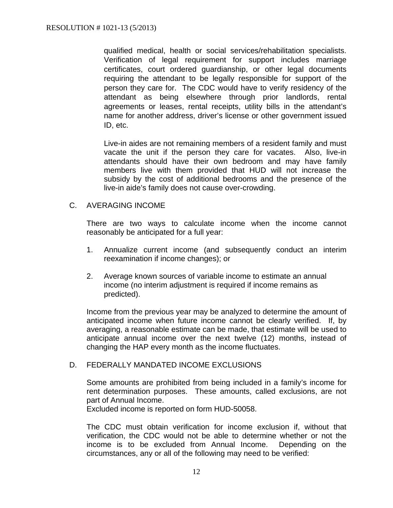qualified medical, health or social services/rehabilitation specialists. Verification of legal requirement for support includes marriage certificates, court ordered guardianship, or other legal documents requiring the attendant to be legally responsible for support of the person they care for. The CDC would have to verify residency of the attendant as being elsewhere through prior landlords, rental agreements or leases, rental receipts, utility bills in the attendant's name for another address, driver's license or other government issued ID, etc.

Live-in aides are not remaining members of a resident family and must vacate the unit if the person they care for vacates. Also, live-in attendants should have their own bedroom and may have family members live with them provided that HUD will not increase the subsidy by the cost of additional bedrooms and the presence of the live-in aide's family does not cause over-crowding.

C. AVERAGING INCOME

There are two ways to calculate income when the income cannot reasonably be anticipated for a full year:

- 1. Annualize current income (and subsequently conduct an interim reexamination if income changes); or
- 2. Average known sources of variable income to estimate an annual income (no interim adjustment is required if income remains as predicted).

Income from the previous year may be analyzed to determine the amount of anticipated income when future income cannot be clearly verified. If, by averaging, a reasonable estimate can be made, that estimate will be used to anticipate annual income over the next twelve (12) months, instead of changing the HAP every month as the income fluctuates.

### D. FEDERALLY MANDATED INCOME EXCLUSIONS

Some amounts are prohibited from being included in a family's income for rent determination purposes. These amounts, called exclusions, are not part of Annual Income.

Excluded income is reported on form HUD-50058.

The CDC must obtain verification for income exclusion if, without that verification, the CDC would not be able to determine whether or not the income is to be excluded from Annual Income. Depending on the circumstances, any or all of the following may need to be verified: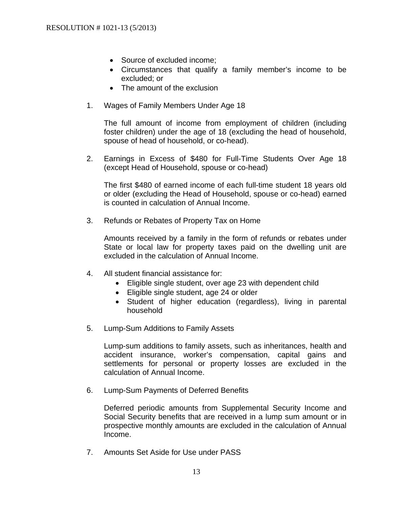- Source of excluded income;
- Circumstances that qualify a family member's income to be excluded; or
- The amount of the exclusion
- 1. Wages of Family Members Under Age 18

The full amount of income from employment of children (including foster children) under the age of 18 (excluding the head of household, spouse of head of household, or co-head).

2. Earnings in Excess of \$480 for Full-Time Students Over Age 18 (except Head of Household, spouse or co-head)

The first \$480 of earned income of each full-time student 18 years old or older (excluding the Head of Household, spouse or co-head) earned is counted in calculation of Annual Income.

3. Refunds or Rebates of Property Tax on Home

Amounts received by a family in the form of refunds or rebates under State or local law for property taxes paid on the dwelling unit are excluded in the calculation of Annual Income.

- 4. All student financial assistance for:
	- Eligible single student, over age 23 with dependent child
	- Eligible single student, age 24 or older
	- Student of higher education (regardless), living in parental household
- 5. Lump-Sum Additions to Family Assets

Lump-sum additions to family assets, such as inheritances, health and accident insurance, worker's compensation, capital gains and settlements for personal or property losses are excluded in the calculation of Annual Income.

6. Lump-Sum Payments of Deferred Benefits

Deferred periodic amounts from Supplemental Security Income and Social Security benefits that are received in a lump sum amount or in prospective monthly amounts are excluded in the calculation of Annual Income.

7. Amounts Set Aside for Use under PASS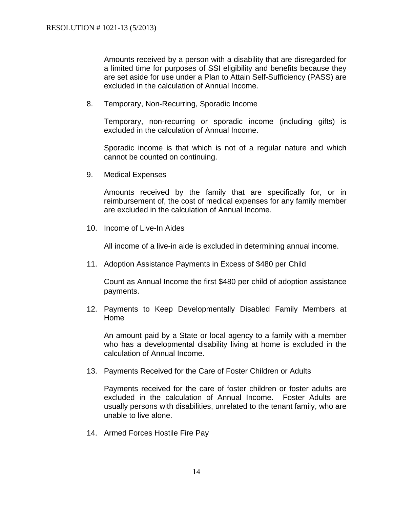Amounts received by a person with a disability that are disregarded for a limited time for purposes of SSI eligibility and benefits because they are set aside for use under a Plan to Attain Self-Sufficiency (PASS) are excluded in the calculation of Annual Income.

8. Temporary, Non-Recurring, Sporadic Income

Temporary, non-recurring or sporadic income (including gifts) is excluded in the calculation of Annual Income.

Sporadic income is that which is not of a regular nature and which cannot be counted on continuing.

9. Medical Expenses

Amounts received by the family that are specifically for, or in reimbursement of, the cost of medical expenses for any family member are excluded in the calculation of Annual Income.

10. Income of Live-In Aides

All income of a live-in aide is excluded in determining annual income.

11. Adoption Assistance Payments in Excess of \$480 per Child

Count as Annual Income the first \$480 per child of adoption assistance payments.

12. Payments to Keep Developmentally Disabled Family Members at Home

An amount paid by a State or local agency to a family with a member who has a developmental disability living at home is excluded in the calculation of Annual Income.

13. Payments Received for the Care of Foster Children or Adults

Payments received for the care of foster children or foster adults are excluded in the calculation of Annual Income. Foster Adults are usually persons with disabilities, unrelated to the tenant family, who are unable to live alone.

14. Armed Forces Hostile Fire Pay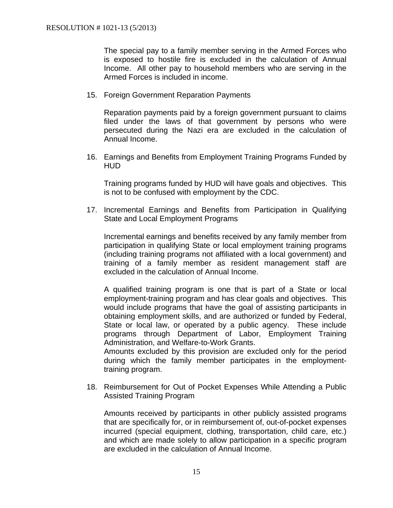The special pay to a family member serving in the Armed Forces who is exposed to hostile fire is excluded in the calculation of Annual Income. All other pay to household members who are serving in the Armed Forces is included in income.

15. Foreign Government Reparation Payments

Reparation payments paid by a foreign government pursuant to claims filed under the laws of that government by persons who were persecuted during the Nazi era are excluded in the calculation of Annual Income.

16. Earnings and Benefits from Employment Training Programs Funded by HUD

Training programs funded by HUD will have goals and objectives. This is not to be confused with employment by the CDC.

17. Incremental Earnings and Benefits from Participation in Qualifying State and Local Employment Programs

Incremental earnings and benefits received by any family member from participation in qualifying State or local employment training programs (including training programs not affiliated with a local government) and training of a family member as resident management staff are excluded in the calculation of Annual Income.

A qualified training program is one that is part of a State or local employment-training program and has clear goals and objectives. This would include programs that have the goal of assisting participants in obtaining employment skills, and are authorized or funded by Federal, State or local law, or operated by a public agency. These include programs through Department of Labor, Employment Training Administration, and Welfare-to-Work Grants.

Amounts excluded by this provision are excluded only for the period during which the family member participates in the employmenttraining program.

18. Reimbursement for Out of Pocket Expenses While Attending a Public Assisted Training Program

Amounts received by participants in other publicly assisted programs that are specifically for, or in reimbursement of, out-of-pocket expenses incurred (special equipment, clothing, transportation, child care, etc.) and which are made solely to allow participation in a specific program are excluded in the calculation of Annual Income.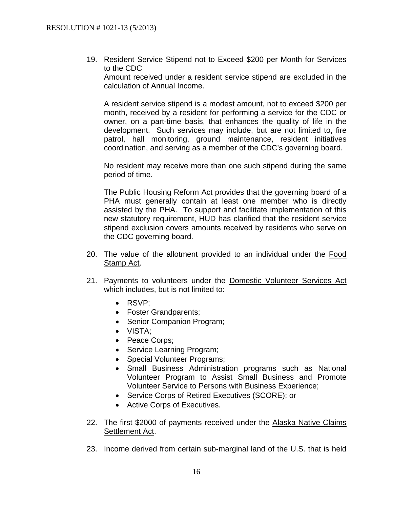19. Resident Service Stipend not to Exceed \$200 per Month for Services to the CDC Amount received under a resident service stipend are excluded in the calculation of Annual Income.

A resident service stipend is a modest amount, not to exceed \$200 per month, received by a resident for performing a service for the CDC or owner, on a part-time basis, that enhances the quality of life in the development. Such services may include, but are not limited to, fire patrol, hall monitoring, ground maintenance, resident initiatives coordination, and serving as a member of the CDC's governing board.

No resident may receive more than one such stipend during the same period of time.

The Public Housing Reform Act provides that the governing board of a PHA must generally contain at least one member who is directly assisted by the PHA. To support and facilitate implementation of this new statutory requirement, HUD has clarified that the resident service stipend exclusion covers amounts received by residents who serve on the CDC governing board.

- 20. The value of the allotment provided to an individual under the Food Stamp Act.
- 21. Payments to volunteers under the Domestic Volunteer Services Act which includes, but is not limited to:
	- RSVP:
	- Foster Grandparents;
	- Senior Companion Program:
	- VISTA;
	- Peace Corps;
	- Service Learning Program;
	- Special Volunteer Programs;
	- Small Business Administration programs such as National Volunteer Program to Assist Small Business and Promote Volunteer Service to Persons with Business Experience;
	- Service Corps of Retired Executives (SCORE); or
	- Active Corps of Executives.
- 22. The first \$2000 of payments received under the Alaska Native Claims Settlement Act.
- 23. Income derived from certain sub-marginal land of the U.S. that is held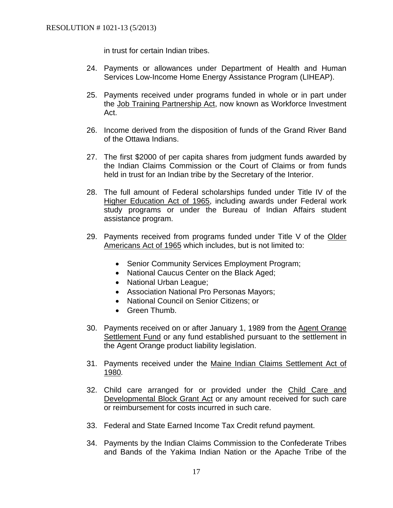in trust for certain Indian tribes.

- 24. Payments or allowances under Department of Health and Human Services Low-Income Home Energy Assistance Program (LIHEAP).
- 25. Payments received under programs funded in whole or in part under the Job Training Partnership Act, now known as Workforce Investment Act.
- 26. Income derived from the disposition of funds of the Grand River Band of the Ottawa Indians.
- 27. The first \$2000 of per capita shares from judgment funds awarded by the Indian Claims Commission or the Court of Claims or from funds held in trust for an Indian tribe by the Secretary of the Interior.
- 28. The full amount of Federal scholarships funded under Title IV of the Higher Education Act of 1965, including awards under Federal work study programs or under the Bureau of Indian Affairs student assistance program.
- 29. Payments received from programs funded under Title V of the Older Americans Act of 1965 which includes, but is not limited to:
	- Senior Community Services Employment Program;
	- National Caucus Center on the Black Aged;
	- National Urban League;
	- Association National Pro Personas Mayors;
	- National Council on Senior Citizens; or
	- Green Thumb.
- 30. Payments received on or after January 1, 1989 from the Agent Orange Settlement Fund or any fund established pursuant to the settlement in the Agent Orange product liability legislation.
- 31. Payments received under the Maine Indian Claims Settlement Act of 1980*.*
- 32. Child care arranged for or provided under the Child Care and Developmental Block Grant Act or any amount received for such care or reimbursement for costs incurred in such care.
- 33. Federal and State Earned Income Tax Credit refund payment.
- 34. Payments by the Indian Claims Commission to the Confederate Tribes and Bands of the Yakima Indian Nation or the Apache Tribe of the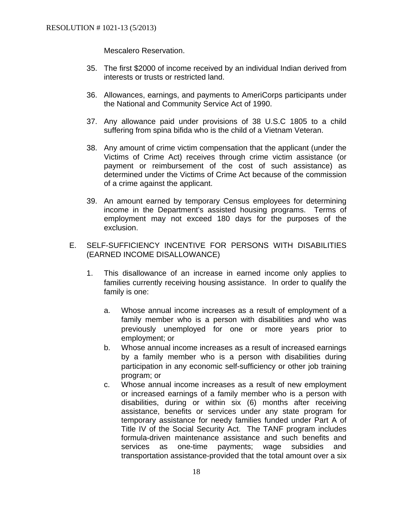Mescalero Reservation.

- 35. The first \$2000 of income received by an individual Indian derived from interests or trusts or restricted land.
- 36. Allowances, earnings, and payments to AmeriCorps participants under the National and Community Service Act of 1990.
- 37. Any allowance paid under provisions of 38 U.S.C 1805 to a child suffering from spina bifida who is the child of a Vietnam Veteran.
- 38. Any amount of crime victim compensation that the applicant (under the Victims of Crime Act) receives through crime victim assistance (or payment or reimbursement of the cost of such assistance) as determined under the Victims of Crime Act because of the commission of a crime against the applicant.
- 39. An amount earned by temporary Census employees for determining income in the Department's assisted housing programs. Terms of employment may not exceed 180 days for the purposes of the exclusion.
- E. SELF-SUFFICIENCY INCENTIVE FOR PERSONS WITH DISABILITIES (EARNED INCOME DISALLOWANCE)
	- 1. This disallowance of an increase in earned income only applies to families currently receiving housing assistance. In order to qualify the family is one:
		- a. Whose annual income increases as a result of employment of a family member who is a person with disabilities and who was previously unemployed for one or more years prior to employment; or
		- b. Whose annual income increases as a result of increased earnings by a family member who is a person with disabilities during participation in any economic self-sufficiency or other job training program; or
		- c. Whose annual income increases as a result of new employment or increased earnings of a family member who is a person with disabilities, during or within six (6) months after receiving assistance, benefits or services under any state program for temporary assistance for needy families funded under Part A of Title IV of the Social Security Act. The TANF program includes formula-driven maintenance assistance and such benefits and services as one-time payments; wage subsidies and transportation assistance-provided that the total amount over a six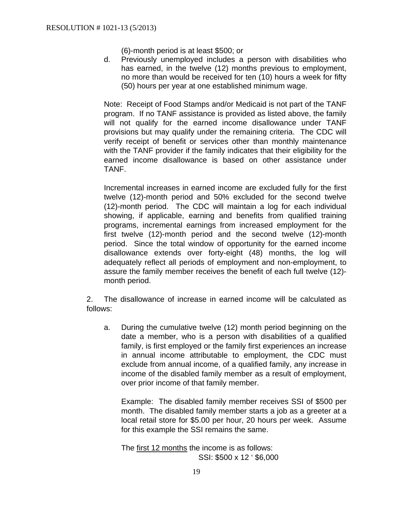(6)-month period is at least \$500; or

d. Previously unemployed includes a person with disabilities who has earned, in the twelve (12) months previous to employment, no more than would be received for ten (10) hours a week for fifty (50) hours per year at one established minimum wage.

Note: Receipt of Food Stamps and/or Medicaid is not part of the TANF program. If no TANF assistance is provided as listed above, the family will not qualify for the earned income disallowance under TANF provisions but may qualify under the remaining criteria. The CDC will verify receipt of benefit or services other than monthly maintenance with the TANF provider if the family indicates that their eligibility for the earned income disallowance is based on other assistance under TANF.

Incremental increases in earned income are excluded fully for the first twelve (12)-month period and 50% excluded for the second twelve (12)-month period. The CDC will maintain a log for each individual showing, if applicable, earning and benefits from qualified training programs, incremental earnings from increased employment for the first twelve (12)-month period and the second twelve (12)-month period. Since the total window of opportunity for the earned income disallowance extends over forty-eight (48) months, the log will adequately reflect all periods of employment and non-employment, to assure the family member receives the benefit of each full twelve (12) month period.

2. The disallowance of increase in earned income will be calculated as follows:

a. During the cumulative twelve (12) month period beginning on the date a member, who is a person with disabilities of a qualified family, is first employed or the family first experiences an increase in annual income attributable to employment, the CDC must exclude from annual income, of a qualified family, any increase in income of the disabled family member as a result of employment, over prior income of that family member.

Example: The disabled family member receives SSI of \$500 per month. The disabled family member starts a job as a greeter at a local retail store for \$5.00 per hour, 20 hours per week. Assume for this example the SSI remains the same.

The first 12 months the income is as follows: SSI: \$500 x 12 ' \$6,000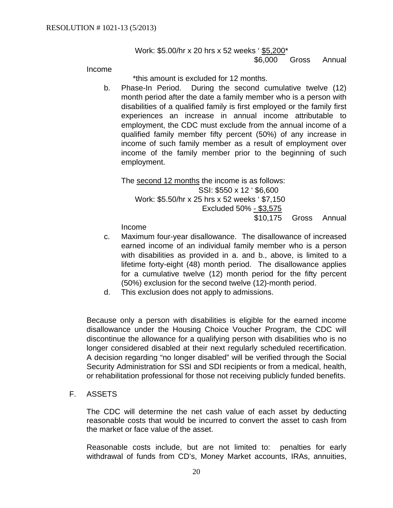Work: \$5.00/hr x 20 hrs x 52 weeks ' \$5,200\* \$6,000 Gross Annual

Income

\*this amount is excluded for 12 months.

b. Phase-In Period. During the second cumulative twelve (12) month period after the date a family member who is a person with disabilities of a qualified family is first employed or the family first experiences an increase in annual income attributable to employment, the CDC must exclude from the annual income of a qualified family member fifty percent (50%) of any increase in income of such family member as a result of employment over income of the family member prior to the beginning of such employment.

The second 12 months the income is as follows: SSI: \$550 x 12 ' \$6,600 Work: \$5.50/hr x 25 hrs x 52 weeks ' \$7,150 Excluded 50% - \$3,575 \$10,175 Gross Annual

Income

- c. Maximum four-year disallowance. The disallowance of increased earned income of an individual family member who is a person with disabilities as provided in a. and b., above, is limited to a lifetime forty-eight (48) month period. The disallowance applies for a cumulative twelve (12) month period for the fifty percent (50%) exclusion for the second twelve (12)-month period.
- d. This exclusion does not apply to admissions.

Because only a person with disabilities is eligible for the earned income disallowance under the Housing Choice Voucher Program, the CDC will discontinue the allowance for a qualifying person with disabilities who is no longer considered disabled at their next regularly scheduled recertification. A decision regarding "no longer disabled" will be verified through the Social Security Administration for SSI and SDI recipients or from a medical, health, or rehabilitation professional for those not receiving publicly funded benefits.

F. ASSETS

The CDC will determine the net cash value of each asset by deducting reasonable costs that would be incurred to convert the asset to cash from the market or face value of the asset.

Reasonable costs include, but are not limited to: penalties for early withdrawal of funds from CD's, Money Market accounts, IRAs, annuities,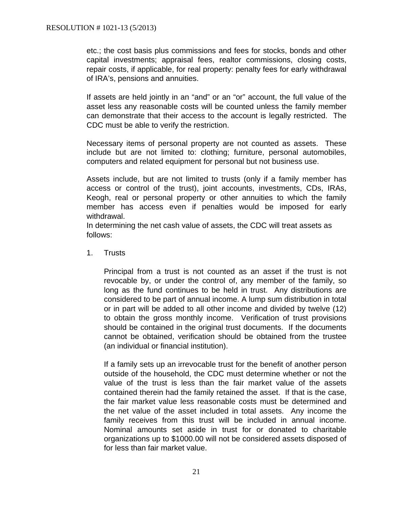etc.; the cost basis plus commissions and fees for stocks, bonds and other capital investments; appraisal fees, realtor commissions, closing costs, repair costs, if applicable, for real property: penalty fees for early withdrawal of IRA's, pensions and annuities.

If assets are held jointly in an "and" or an "or" account, the full value of the asset less any reasonable costs will be counted unless the family member can demonstrate that their access to the account is legally restricted. The CDC must be able to verify the restriction.

Necessary items of personal property are not counted as assets. These include but are not limited to: clothing; furniture, personal automobiles, computers and related equipment for personal but not business use.

Assets include, but are not limited to trusts (only if a family member has access or control of the trust), joint accounts, investments, CDs, IRAs, Keogh, real or personal property or other annuities to which the family member has access even if penalties would be imposed for early withdrawal.

In determining the net cash value of assets, the CDC will treat assets as follows:

1. Trusts

Principal from a trust is not counted as an asset if the trust is not revocable by, or under the control of, any member of the family, so long as the fund continues to be held in trust. Any distributions are considered to be part of annual income. A lump sum distribution in total or in part will be added to all other income and divided by twelve (12) to obtain the gross monthly income. Verification of trust provisions should be contained in the original trust documents. If the documents cannot be obtained, verification should be obtained from the trustee (an individual or financial institution).

If a family sets up an irrevocable trust for the benefit of another person outside of the household, the CDC must determine whether or not the value of the trust is less than the fair market value of the assets contained therein had the family retained the asset. If that is the case, the fair market value less reasonable costs must be determined and the net value of the asset included in total assets. Any income the family receives from this trust will be included in annual income. Nominal amounts set aside in trust for or donated to charitable organizations up to \$1000.00 will not be considered assets disposed of for less than fair market value.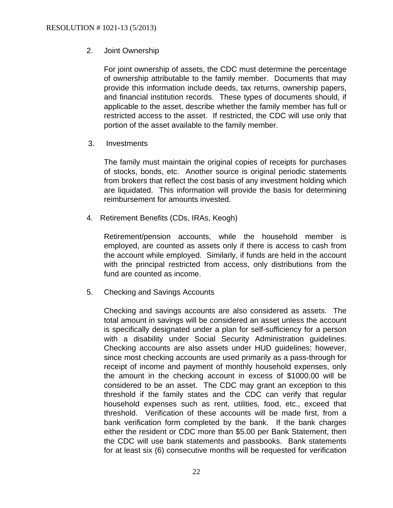## 2. Joint Ownership

For joint ownership of assets, the CDC must determine the percentage of ownership attributable to the family member. Documents that may provide this information include deeds, tax returns, ownership papers, and financial institution records. These types of documents should, if applicable to the asset, describe whether the family member has full or restricted access to the asset. If restricted, the CDC will use only that portion of the asset available to the family member.

3. Investments

The family must maintain the original copies of receipts for purchases of stocks, bonds, etc. Another source is original periodic statements from brokers that reflect the cost basis of any investment holding which are liquidated. This information will provide the basis for determining reimbursement for amounts invested.

4. Retirement Benefits (CDs, IRAs, Keogh)

Retirement/pension accounts, while the household member is employed, are counted as assets only if there is access to cash from the account while employed. Similarly, if funds are held in the account with the principal restricted from access, only distributions from the fund are counted as income.

5. Checking and Savings Accounts

Checking and savings accounts are also considered as assets. The total amount in savings will be considered an asset unless the account is specifically designated under a plan for self-sufficiency for a person with a disability under Social Security Administration quidelines. Checking accounts are also assets under HUD guidelines; however, since most checking accounts are used primarily as a pass-through for receipt of income and payment of monthly household expenses, only the amount in the checking account in excess of \$1000.00 will be considered to be an asset. The CDC may grant an exception to this threshold if the family states and the CDC can verify that regular household expenses such as rent, utilities, food, etc., exceed that threshold. Verification of these accounts will be made first, from a bank verification form completed by the bank. If the bank charges either the resident or CDC more than \$5.00 per Bank Statement, then the CDC will use bank statements and passbooks. Bank statements for at least six (6) consecutive months will be requested for verification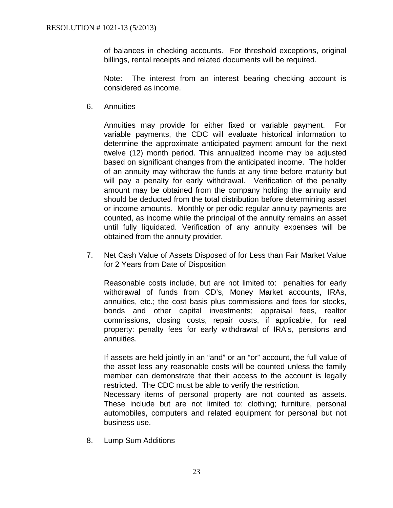of balances in checking accounts. For threshold exceptions, original billings, rental receipts and related documents will be required.

Note: The interest from an interest bearing checking account is considered as income.

6. Annuities

Annuities may provide for either fixed or variable payment. For variable payments, the CDC will evaluate historical information to determine the approximate anticipated payment amount for the next twelve (12) month period. This annualized income may be adjusted based on significant changes from the anticipated income. The holder of an annuity may withdraw the funds at any time before maturity but will pay a penalty for early withdrawal. Verification of the penalty amount may be obtained from the company holding the annuity and should be deducted from the total distribution before determining asset or income amounts. Monthly or periodic regular annuity payments are counted, as income while the principal of the annuity remains an asset until fully liquidated. Verification of any annuity expenses will be obtained from the annuity provider.

7. Net Cash Value of Assets Disposed of for Less than Fair Market Value for 2 Years from Date of Disposition

Reasonable costs include, but are not limited to: penalties for early withdrawal of funds from CD's, Money Market accounts, IRAs, annuities, etc.; the cost basis plus commissions and fees for stocks, bonds and other capital investments; appraisal fees, realtor commissions, closing costs, repair costs, if applicable, for real property: penalty fees for early withdrawal of IRA's, pensions and annuities.

If assets are held jointly in an "and" or an "or" account, the full value of the asset less any reasonable costs will be counted unless the family member can demonstrate that their access to the account is legally restricted. The CDC must be able to verify the restriction.

Necessary items of personal property are not counted as assets. These include but are not limited to: clothing; furniture, personal automobiles, computers and related equipment for personal but not business use.

8. Lump Sum Additions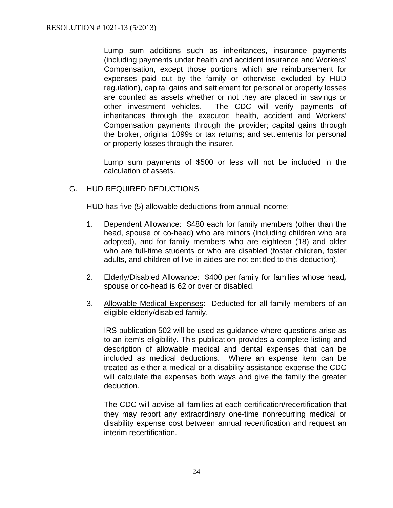Lump sum additions such as inheritances, insurance payments (including payments under health and accident insurance and Workers' Compensation, except those portions which are reimbursement for expenses paid out by the family or otherwise excluded by HUD regulation), capital gains and settlement for personal or property losses are counted as assets whether or not they are placed in savings or other investment vehicles. The CDC will verify payments of inheritances through the executor; health, accident and Workers' Compensation payments through the provider; capital gains through the broker, original 1099s or tax returns; and settlements for personal or property losses through the insurer.

Lump sum payments of \$500 or less will not be included in the calculation of assets.

# G. HUD REQUIRED DEDUCTIONS

HUD has five (5) allowable deductions from annual income:

- 1. Dependent Allowance: \$480 each for family members (other than the head, spouse or co-head) who are minors (including children who are adopted), and for family members who are eighteen (18) and older who are full-time students or who are disabled (foster children, foster adults, and children of live-in aides are not entitled to this deduction).
- 2. Elderly/Disabled Allowance: \$400 per family for families whose head*,*  spouse or co-head is 62 or over or disabled.
- 3. Allowable Medical Expenses: Deducted for all family members of an eligible elderly/disabled family.

IRS publication 502 will be used as guidance where questions arise as to an item's eligibility. This publication provides a complete listing and description of allowable medical and dental expenses that can be included as medical deductions. Where an expense item can be treated as either a medical or a disability assistance expense the CDC will calculate the expenses both ways and give the family the greater deduction.

The CDC will advise all families at each certification/recertification that they may report any extraordinary one-time nonrecurring medical or disability expense cost between annual recertification and request an interim recertification.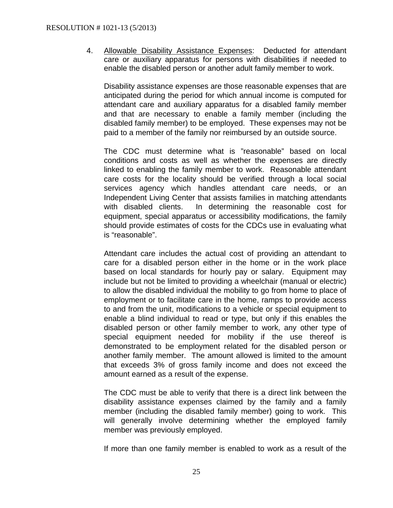4. Allowable Disability Assistance Expenses: Deducted for attendant care or auxiliary apparatus for persons with disabilities if needed to enable the disabled person or another adult family member to work.

Disability assistance expenses are those reasonable expenses that are anticipated during the period for which annual income is computed for attendant care and auxiliary apparatus for a disabled family member and that are necessary to enable a family member (including the disabled family member) to be employed. These expenses may not be paid to a member of the family nor reimbursed by an outside source.

The CDC must determine what is "reasonable" based on local conditions and costs as well as whether the expenses are directly linked to enabling the family member to work. Reasonable attendant care costs for the locality should be verified through a local social services agency which handles attendant care needs, or an Independent Living Center that assists families in matching attendants with disabled clients. In determining the reasonable cost for equipment, special apparatus or accessibility modifications, the family should provide estimates of costs for the CDCs use in evaluating what is "reasonable".

Attendant care includes the actual cost of providing an attendant to care for a disabled person either in the home or in the work place based on local standards for hourly pay or salary. Equipment may include but not be limited to providing a wheelchair (manual or electric) to allow the disabled individual the mobility to go from home to place of employment or to facilitate care in the home, ramps to provide access to and from the unit, modifications to a vehicle or special equipment to enable a blind individual to read or type, but only if this enables the disabled person or other family member to work, any other type of special equipment needed for mobility if the use thereof is demonstrated to be employment related for the disabled person or another family member. The amount allowed is limited to the amount that exceeds 3% of gross family income and does not exceed the amount earned as a result of the expense.

The CDC must be able to verify that there is a direct link between the disability assistance expenses claimed by the family and a family member (including the disabled family member) going to work. This will generally involve determining whether the employed family member was previously employed.

If more than one family member is enabled to work as a result of the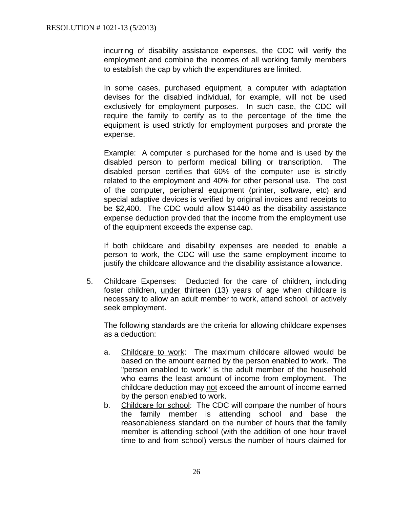incurring of disability assistance expenses, the CDC will verify the employment and combine the incomes of all working family members to establish the cap by which the expenditures are limited.

In some cases, purchased equipment, a computer with adaptation devises for the disabled individual, for example, will not be used exclusively for employment purposes. In such case, the CDC will require the family to certify as to the percentage of the time the equipment is used strictly for employment purposes and prorate the expense.

Example: A computer is purchased for the home and is used by the disabled person to perform medical billing or transcription. The disabled person certifies that 60% of the computer use is strictly related to the employment and 40% for other personal use. The cost of the computer, peripheral equipment (printer, software, etc) and special adaptive devices is verified by original invoices and receipts to be \$2,400. The CDC would allow \$1440 as the disability assistance expense deduction provided that the income from the employment use of the equipment exceeds the expense cap.

If both childcare and disability expenses are needed to enable a person to work, the CDC will use the same employment income to justify the childcare allowance and the disability assistance allowance.

5. Childcare Expenses: Deducted for the care of children, including foster children, under thirteen (13) years of age when childcare is necessary to allow an adult member to work, attend school, or actively seek employment.

The following standards are the criteria for allowing childcare expenses as a deduction:

- a. Childcare to work: The maximum childcare allowed would be based on the amount earned by the person enabled to work. The "person enabled to work" is the adult member of the household who earns the least amount of income from employment. The childcare deduction may not exceed the amount of income earned by the person enabled to work.
- b. Childcare for school: The CDC will compare the number of hours the family member is attending school and base the reasonableness standard on the number of hours that the family member is attending school (with the addition of one hour travel time to and from school) versus the number of hours claimed for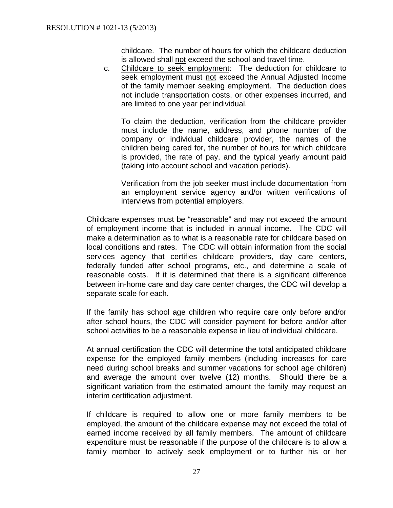childcare. The number of hours for which the childcare deduction is allowed shall not exceed the school and travel time.

c. Childcare to seek employment: The deduction for childcare to seek employment must not exceed the Annual Adjusted Income of the family member seeking employment. The deduction does not include transportation costs, or other expenses incurred, and are limited to one year per individual.

To claim the deduction, verification from the childcare provider must include the name, address, and phone number of the company or individual childcare provider, the names of the children being cared for, the number of hours for which childcare is provided, the rate of pay, and the typical yearly amount paid (taking into account school and vacation periods).

Verification from the job seeker must include documentation from an employment service agency and/or written verifications of interviews from potential employers.

Childcare expenses must be "reasonable" and may not exceed the amount of employment income that is included in annual income. The CDC will make a determination as to what is a reasonable rate for childcare based on local conditions and rates. The CDC will obtain information from the social services agency that certifies childcare providers, day care centers, federally funded after school programs, etc., and determine a scale of reasonable costs. If it is determined that there is a significant difference between in-home care and day care center charges, the CDC will develop a separate scale for each.

If the family has school age children who require care only before and/or after school hours, the CDC will consider payment for before and/or after school activities to be a reasonable expense in lieu of individual childcare.

At annual certification the CDC will determine the total anticipated childcare expense for the employed family members (including increases for care need during school breaks and summer vacations for school age children) and average the amount over twelve (12) months. Should there be a significant variation from the estimated amount the family may request an interim certification adjustment.

If childcare is required to allow one or more family members to be employed, the amount of the childcare expense may not exceed the total of earned income received by all family members. The amount of childcare expenditure must be reasonable if the purpose of the childcare is to allow a family member to actively seek employment or to further his or her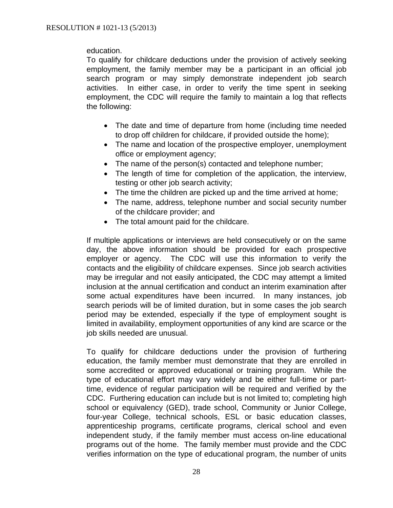education.

To qualify for childcare deductions under the provision of actively seeking employment, the family member may be a participant in an official job search program or may simply demonstrate independent job search activities. In either case, in order to verify the time spent in seeking employment, the CDC will require the family to maintain a log that reflects the following:

- The date and time of departure from home (including time needed to drop off children for childcare, if provided outside the home);
- The name and location of the prospective employer, unemployment office or employment agency;
- The name of the person(s) contacted and telephone number;
- The length of time for completion of the application, the interview, testing or other job search activity;
- The time the children are picked up and the time arrived at home;
- The name, address, telephone number and social security number of the childcare provider; and
- The total amount paid for the childcare.

If multiple applications or interviews are held consecutively or on the same day, the above information should be provided for each prospective employer or agency. The CDC will use this information to verify the contacts and the eligibility of childcare expenses. Since job search activities may be irregular and not easily anticipated, the CDC may attempt a limited inclusion at the annual certification and conduct an interim examination after some actual expenditures have been incurred. In many instances, job search periods will be of limited duration, but in some cases the job search period may be extended, especially if the type of employment sought is limited in availability, employment opportunities of any kind are scarce or the job skills needed are unusual.

To qualify for childcare deductions under the provision of furthering education, the family member must demonstrate that they are enrolled in some accredited or approved educational or training program. While the type of educational effort may vary widely and be either full-time or parttime, evidence of regular participation will be required and verified by the CDC. Furthering education can include but is not limited to; completing high school or equivalency (GED), trade school, Community or Junior College, four-year College, technical schools, ESL or basic education classes, apprenticeship programs, certificate programs, clerical school and even independent study, if the family member must access on-line educational programs out of the home. The family member must provide and the CDC verifies information on the type of educational program, the number of units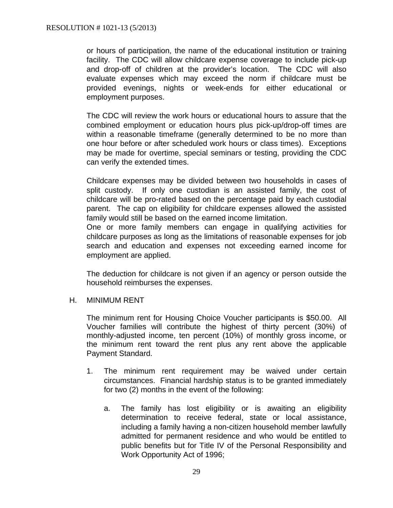or hours of participation, the name of the educational institution or training facility. The CDC will allow childcare expense coverage to include pick-up and drop-off of children at the provider's location. The CDC will also evaluate expenses which may exceed the norm if childcare must be provided evenings, nights or week-ends for either educational or employment purposes.

The CDC will review the work hours or educational hours to assure that the combined employment or education hours plus pick-up/drop-off times are within a reasonable timeframe (generally determined to be no more than one hour before or after scheduled work hours or class times). Exceptions may be made for overtime, special seminars or testing, providing the CDC can verify the extended times.

Childcare expenses may be divided between two households in cases of split custody. If only one custodian is an assisted family, the cost of childcare will be pro-rated based on the percentage paid by each custodial parent. The cap on eligibility for childcare expenses allowed the assisted family would still be based on the earned income limitation.

One or more family members can engage in qualifying activities for childcare purposes as long as the limitations of reasonable expenses for job search and education and expenses not exceeding earned income for employment are applied.

The deduction for childcare is not given if an agency or person outside the household reimburses the expenses.

### H. MINIMUM RENT

The minimum rent for Housing Choice Voucher participants is \$50.00. All Voucher families will contribute the highest of thirty percent (30%) of monthly-adjusted income, ten percent (10%) of monthly gross income, or the minimum rent toward the rent plus any rent above the applicable Payment Standard.

- 1. The minimum rent requirement may be waived under certain circumstances. Financial hardship status is to be granted immediately for two (2) months in the event of the following:
	- a. The family has lost eligibility or is awaiting an eligibility determination to receive federal, state or local assistance, including a family having a non-citizen household member lawfully admitted for permanent residence and who would be entitled to public benefits but for Title IV of the Personal Responsibility and Work Opportunity Act of 1996;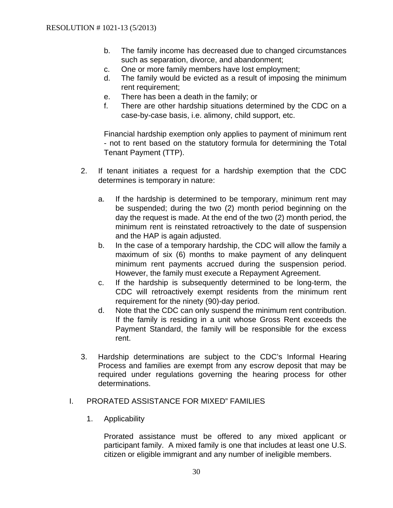- b. The family income has decreased due to changed circumstances such as separation, divorce, and abandonment;
- c. One or more family members have lost employment;
- d. The family would be evicted as a result of imposing the minimum rent requirement;
- e. There has been a death in the family; or
- f. There are other hardship situations determined by the CDC on a case-by-case basis, i.e. alimony, child support, etc.

Financial hardship exemption only applies to payment of minimum rent - not to rent based on the statutory formula for determining the Total Tenant Payment (TTP).

- 2. If tenant initiates a request for a hardship exemption that the CDC determines is temporary in nature:
	- a. If the hardship is determined to be temporary, minimum rent may be suspended; during the two (2) month period beginning on the day the request is made. At the end of the two (2) month period, the minimum rent is reinstated retroactively to the date of suspension and the HAP is again adjusted.
	- b. In the case of a temporary hardship, the CDC will allow the family a maximum of six (6) months to make payment of any delinquent minimum rent payments accrued during the suspension period. However, the family must execute a Repayment Agreement.
	- c. If the hardship is subsequently determined to be long-term, the CDC will retroactively exempt residents from the minimum rent requirement for the ninety (90)-day period.
	- d. Note that the CDC can only suspend the minimum rent contribution. If the family is residing in a unit whose Gross Rent exceeds the Payment Standard, the family will be responsible for the excess rent.
- 3. Hardship determinations are subject to the CDC's Informal Hearing Process and families are exempt from any escrow deposit that may be required under regulations governing the hearing process for other determinations.

### I. PRORATED ASSISTANCE FOR MIXED" FAMILIES

1. Applicability

Prorated assistance must be offered to any mixed applicant or participant family. A mixed family is one that includes at least one U.S. citizen or eligible immigrant and any number of ineligible members.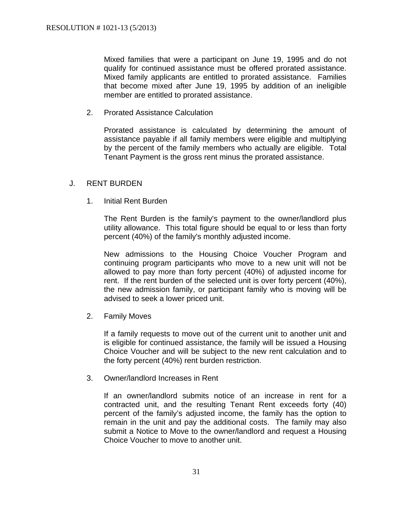Mixed families that were a participant on June 19, 1995 and do not qualify for continued assistance must be offered prorated assistance. Mixed family applicants are entitled to prorated assistance. Families that become mixed after June 19, 1995 by addition of an ineligible member are entitled to prorated assistance.

2. Prorated Assistance Calculation

Prorated assistance is calculated by determining the amount of assistance payable if all family members were eligible and multiplying by the percent of the family members who actually are eligible. Total Tenant Payment is the gross rent minus the prorated assistance.

### J. RENT BURDEN

1. Initial Rent Burden

The Rent Burden is the family's payment to the owner/landlord plus utility allowance. This total figure should be equal to or less than forty percent (40%) of the family's monthly adjusted income.

New admissions to the Housing Choice Voucher Program and continuing program participants who move to a new unit will not be allowed to pay more than forty percent (40%) of adjusted income for rent. If the rent burden of the selected unit is over forty percent (40%), the new admission family, or participant family who is moving will be advised to seek a lower priced unit.

2. Family Moves

If a family requests to move out of the current unit to another unit and is eligible for continued assistance, the family will be issued a Housing Choice Voucher and will be subject to the new rent calculation and to the forty percent (40%) rent burden restriction.

3. Owner/landlord Increases in Rent

If an owner/landlord submits notice of an increase in rent for a contracted unit, and the resulting Tenant Rent exceeds forty (40) percent of the family's adjusted income, the family has the option to remain in the unit and pay the additional costs. The family may also submit a Notice to Move to the owner/landlord and request a Housing Choice Voucher to move to another unit.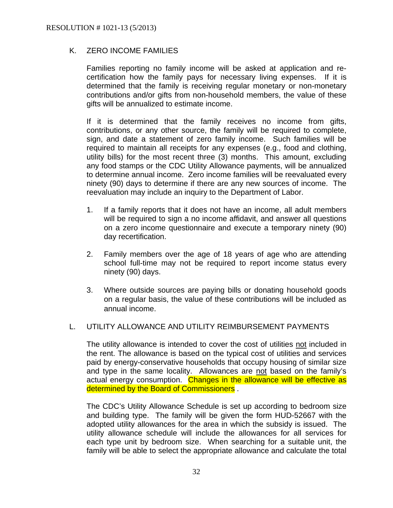# K. ZERO INCOME FAMILIES

Families reporting no family income will be asked at application and recertification how the family pays for necessary living expenses. If it is determined that the family is receiving regular monetary or non-monetary contributions and/or gifts from non-household members, the value of these gifts will be annualized to estimate income.

If it is determined that the family receives no income from gifts, contributions, or any other source, the family will be required to complete, sign, and date a statement of zero family income. Such families will be required to maintain all receipts for any expenses (e.g., food and clothing, utility bills) for the most recent three (3) months. This amount, excluding any food stamps or the CDC Utility Allowance payments, will be annualized to determine annual income. Zero income families will be reevaluated every ninety (90) days to determine if there are any new sources of income. The reevaluation may include an inquiry to the Department of Labor.

- 1. If a family reports that it does not have an income, all adult members will be required to sign a no income affidavit, and answer all questions on a zero income questionnaire and execute a temporary ninety (90) day recertification.
- 2. Family members over the age of 18 years of age who are attending school full-time may not be required to report income status every ninety (90) days.
- 3. Where outside sources are paying bills or donating household goods on a regular basis, the value of these contributions will be included as annual income.

### L. UTILITY ALLOWANCE AND UTILITY REIMBURSEMENT PAYMENTS

The utility allowance is intended to cover the cost of utilities not included in the rent. The allowance is based on the typical cost of utilities and services paid by energy-conservative households that occupy housing of similar size and type in the same locality. Allowances are not based on the family's actual energy consumption. Changes in the allowance will be effective as determined by the Board of Commissioners.

The CDC's Utility Allowance Schedule is set up according to bedroom size and building type. The family will be given the form HUD-52667 with the adopted utility allowances for the area in which the subsidy is issued. The utility allowance schedule will include the allowances for all services for each type unit by bedroom size. When searching for a suitable unit, the family will be able to select the appropriate allowance and calculate the total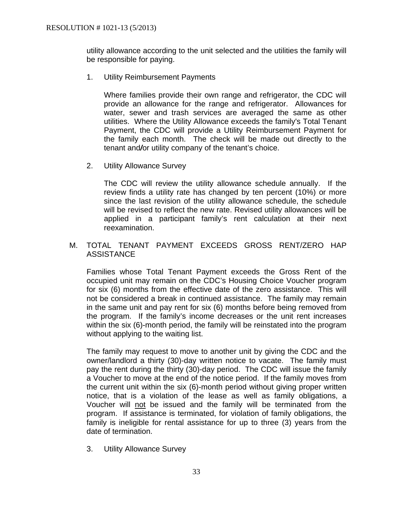utility allowance according to the unit selected and the utilities the family will be responsible for paying.

1. Utility Reimbursement Payments

Where families provide their own range and refrigerator, the CDC will provide an allowance for the range and refrigerator. Allowances for water, sewer and trash services are averaged the same as other utilities. Where the Utility Allowance exceeds the family's Total Tenant Payment, the CDC will provide a Utility Reimbursement Payment for the family each month. The check will be made out directly to the tenant and*/*or utility company of the tenant's choice.

2. Utility Allowance Survey

The CDC will review the utility allowance schedule annually. If the review finds a utility rate has changed by ten percent (10%) or more since the last revision of the utility allowance schedule, the schedule will be revised to reflect the new rate. Revised utility allowances will be applied in a participant family's rent calculation at their next reexamination.

## M. TOTAL TENANT PAYMENT EXCEEDS GROSS RENT/ZERO HAP **ASSISTANCE**

Families whose Total Tenant Payment exceeds the Gross Rent of the occupied unit may remain on the CDC's Housing Choice Voucher program for six (6) months from the effective date of the zero assistance. This will not be considered a break in continued assistance. The family may remain in the same unit and pay rent for six (6) months before being removed from the program. If the family's income decreases or the unit rent increases within the six (6)-month period, the family will be reinstated into the program without applying to the waiting list.

The family may request to move to another unit by giving the CDC and the owner/landlord a thirty (30)-day written notice to vacate. The family must pay the rent during the thirty (30)-day period. The CDC will issue the family a Voucher to move at the end of the notice period. If the family moves from the current unit within the six (6)-month period without giving proper written notice, that is a violation of the lease as well as family obligations, a Voucher will not be issued and the family will be terminated from the program. If assistance is terminated, for violation of family obligations, the family is ineligible for rental assistance for up to three (3) years from the date of termination.

3. Utility Allowance Survey